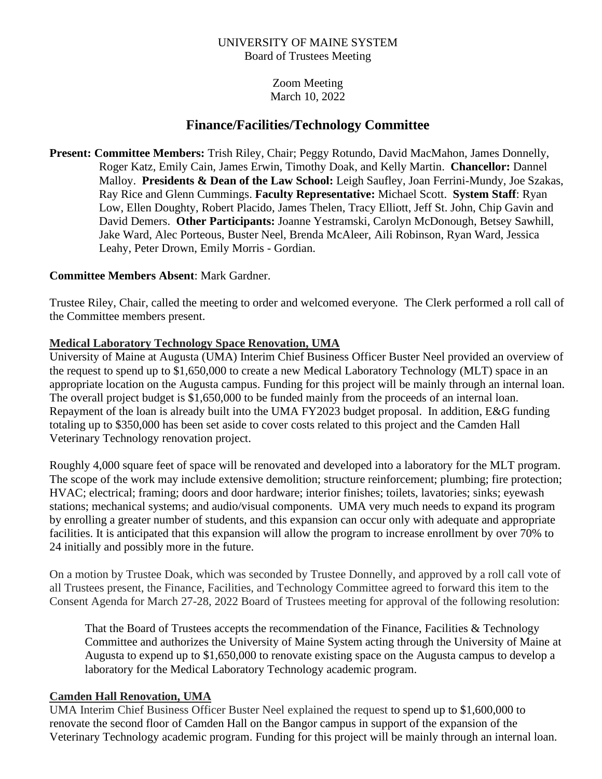### UNIVERSITY OF MAINE SYSTEM Board of Trustees Meeting

Zoom Meeting March 10, 2022

# **Finance/Facilities/Technology Committee**

**Present: Committee Members:** Trish Riley, Chair; Peggy Rotundo, David MacMahon, James Donnelly, Roger Katz, Emily Cain, James Erwin, Timothy Doak, and Kelly Martin. **Chancellor:** Dannel Malloy. **Presidents & Dean of the Law School:** Leigh Saufley, Joan Ferrini-Mundy, Joe Szakas, Ray Rice and Glenn Cummings. **Faculty Representative:** Michael Scott. **System Staff**: Ryan Low, Ellen Doughty, Robert Placido, James Thelen, Tracy Elliott, Jeff St. John, Chip Gavin and David Demers. **Other Participants:** Joanne Yestramski, Carolyn McDonough, Betsey Sawhill, Jake Ward, Alec Porteous, Buster Neel, Brenda McAleer, Aili Robinson, Ryan Ward, Jessica Leahy, Peter Drown, Emily Morris - Gordian.

## **Committee Members Absent**: Mark Gardner.

Trustee Riley, Chair, called the meeting to order and welcomed everyone. The Clerk performed a roll call of the Committee members present.

### **Medical Laboratory Technology Space Renovation, UMA**

University of Maine at Augusta (UMA) Interim Chief Business Officer Buster Neel provided an overview of the request to spend up to \$1,650,000 to create a new Medical Laboratory Technology (MLT) space in an appropriate location on the Augusta campus. Funding for this project will be mainly through an internal loan. The overall project budget is \$1,650,000 to be funded mainly from the proceeds of an internal loan. Repayment of the loan is already built into the UMA FY2023 budget proposal. In addition, E&G funding totaling up to \$350,000 has been set aside to cover costs related to this project and the Camden Hall Veterinary Technology renovation project.

Roughly 4,000 square feet of space will be renovated and developed into a laboratory for the MLT program. The scope of the work may include extensive demolition; structure reinforcement; plumbing; fire protection; HVAC; electrical; framing; doors and door hardware; interior finishes; toilets, lavatories; sinks; eyewash stations; mechanical systems; and audio/visual components. UMA very much needs to expand its program by enrolling a greater number of students, and this expansion can occur only with adequate and appropriate facilities. It is anticipated that this expansion will allow the program to increase enrollment by over 70% to 24 initially and possibly more in the future.

On a motion by Trustee Doak, which was seconded by Trustee Donnelly, and approved by a roll call vote of all Trustees present, the Finance, Facilities, and Technology Committee agreed to forward this item to the Consent Agenda for March 27-28, 2022 Board of Trustees meeting for approval of the following resolution:

That the Board of Trustees accepts the recommendation of the Finance, Facilities & Technology Committee and authorizes the University of Maine System acting through the University of Maine at Augusta to expend up to \$1,650,000 to renovate existing space on the Augusta campus to develop a laboratory for the Medical Laboratory Technology academic program.

#### **Camden Hall Renovation, UMA**

UMA Interim Chief Business Officer Buster Neel explained the request to spend up to \$1,600,000 to renovate the second floor of Camden Hall on the Bangor campus in support of the expansion of the Veterinary Technology academic program. Funding for this project will be mainly through an internal loan.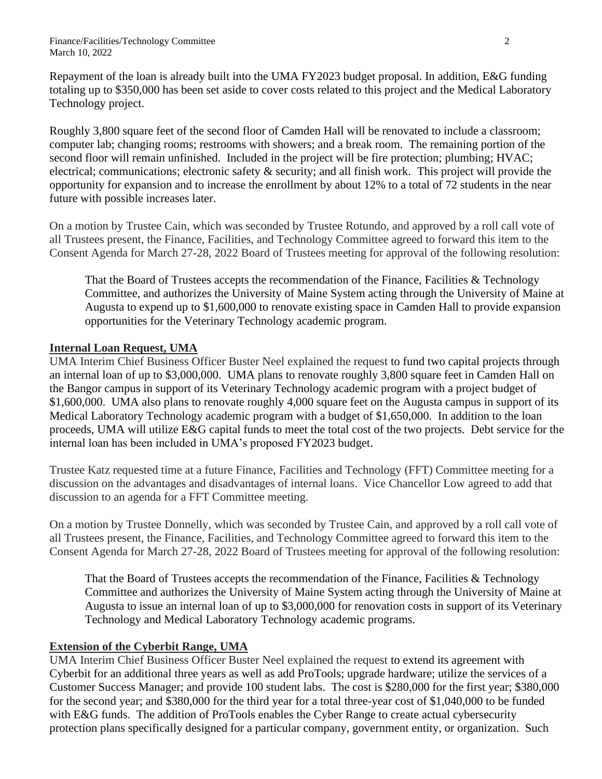Repayment of the loan is already built into the UMA FY2023 budget proposal. In addition, E&G funding totaling up to \$350,000 has been set aside to cover costs related to this project and the Medical Laboratory Technology project.

Roughly 3,800 square feet of the second floor of Camden Hall will be renovated to include a classroom; computer lab; changing rooms; restrooms with showers; and a break room. The remaining portion of the second floor will remain unfinished. Included in the project will be fire protection; plumbing; HVAC; electrical; communications; electronic safety & security; and all finish work. This project will provide the opportunity for expansion and to increase the enrollment by about 12% to a total of 72 students in the near future with possible increases later.

On a motion by Trustee Cain, which was seconded by Trustee Rotundo, and approved by a roll call vote of all Trustees present, the Finance, Facilities, and Technology Committee agreed to forward this item to the Consent Agenda for March 27-28, 2022 Board of Trustees meeting for approval of the following resolution:

That the Board of Trustees accepts the recommendation of the Finance, Facilities & Technology Committee, and authorizes the University of Maine System acting through the University of Maine at Augusta to expend up to \$1,600,000 to renovate existing space in Camden Hall to provide expansion opportunities for the Veterinary Technology academic program.

## **Internal Loan Request, UMA**

UMA Interim Chief Business Officer Buster Neel explained the request to fund two capital projects through an internal loan of up to \$3,000,000. UMA plans to renovate roughly 3,800 square feet in Camden Hall on the Bangor campus in support of its Veterinary Technology academic program with a project budget of \$1,600,000. UMA also plans to renovate roughly 4,000 square feet on the Augusta campus in support of its Medical Laboratory Technology academic program with a budget of \$1,650,000. In addition to the loan proceeds, UMA will utilize E&G capital funds to meet the total cost of the two projects. Debt service for the internal loan has been included in UMA's proposed FY2023 budget.

Trustee Katz requested time at a future Finance, Facilities and Technology (FFT) Committee meeting for a discussion on the advantages and disadvantages of internal loans. Vice Chancellor Low agreed to add that discussion to an agenda for a FFT Committee meeting.

On a motion by Trustee Donnelly, which was seconded by Trustee Cain, and approved by a roll call vote of all Trustees present, the Finance, Facilities, and Technology Committee agreed to forward this item to the Consent Agenda for March 27-28, 2022 Board of Trustees meeting for approval of the following resolution:

That the Board of Trustees accepts the recommendation of the Finance, Facilities & Technology Committee and authorizes the University of Maine System acting through the University of Maine at Augusta to issue an internal loan of up to \$3,000,000 for renovation costs in support of its Veterinary Technology and Medical Laboratory Technology academic programs.

# **Extension of the Cyberbit Range, UMA**

UMA Interim Chief Business Officer Buster Neel explained the request to extend its agreement with Cyberbit for an additional three years as well as add ProTools; upgrade hardware; utilize the services of a Customer Success Manager; and provide 100 student labs. The cost is \$280,000 for the first year; \$380,000 for the second year; and \$380,000 for the third year for a total three-year cost of \$1,040,000 to be funded with E&G funds. The addition of ProTools enables the Cyber Range to create actual cybersecurity protection plans specifically designed for a particular company, government entity, or organization. Such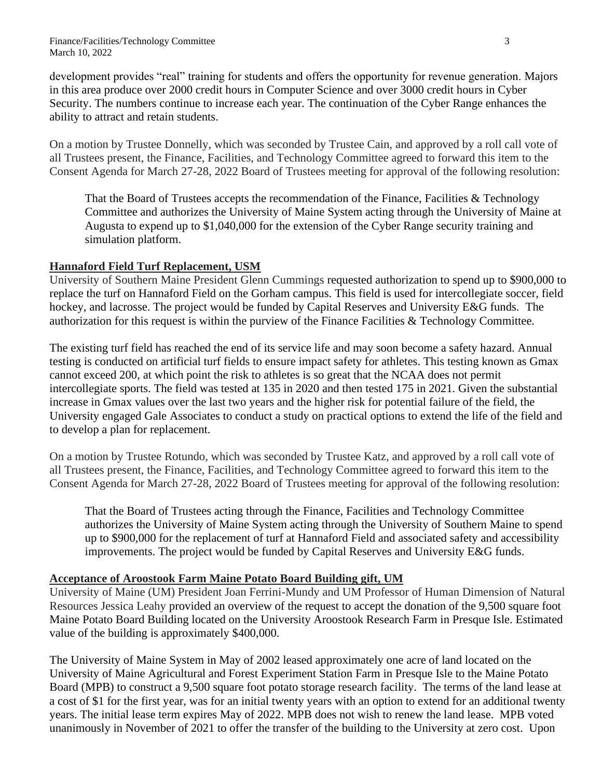development provides "real" training for students and offers the opportunity for revenue generation. Majors in this area produce over 2000 credit hours in Computer Science and over 3000 credit hours in Cyber Security. The numbers continue to increase each year. The continuation of the Cyber Range enhances the ability to attract and retain students.

On a motion by Trustee Donnelly, which was seconded by Trustee Cain, and approved by a roll call vote of all Trustees present, the Finance, Facilities, and Technology Committee agreed to forward this item to the Consent Agenda for March 27-28, 2022 Board of Trustees meeting for approval of the following resolution:

That the Board of Trustees accepts the recommendation of the Finance, Facilities & Technology Committee and authorizes the University of Maine System acting through the University of Maine at Augusta to expend up to \$1,040,000 for the extension of the Cyber Range security training and simulation platform.

### **Hannaford Field Turf Replacement, USM**

University of Southern Maine President Glenn Cummings requested authorization to spend up to \$900,000 to replace the turf on Hannaford Field on the Gorham campus. This field is used for intercollegiate soccer, field hockey, and lacrosse. The project would be funded by Capital Reserves and University E&G funds. The authorization for this request is within the purview of the Finance Facilities & Technology Committee.

The existing turf field has reached the end of its service life and may soon become a safety hazard. Annual testing is conducted on artificial turf fields to ensure impact safety for athletes. This testing known as Gmax cannot exceed 200, at which point the risk to athletes is so great that the NCAA does not permit intercollegiate sports. The field was tested at 135 in 2020 and then tested 175 in 2021. Given the substantial increase in Gmax values over the last two years and the higher risk for potential failure of the field, the University engaged Gale Associates to conduct a study on practical options to extend the life of the field and to develop a plan for replacement.

On a motion by Trustee Rotundo, which was seconded by Trustee Katz, and approved by a roll call vote of all Trustees present, the Finance, Facilities, and Technology Committee agreed to forward this item to the Consent Agenda for March 27-28, 2022 Board of Trustees meeting for approval of the following resolution:

That the Board of Trustees acting through the Finance, Facilities and Technology Committee authorizes the University of Maine System acting through the University of Southern Maine to spend up to \$900,000 for the replacement of turf at Hannaford Field and associated safety and accessibility improvements. The project would be funded by Capital Reserves and University E&G funds.

## **Acceptance of Aroostook Farm Maine Potato Board Building gift, UM**

University of Maine (UM) President Joan Ferrini-Mundy and UM Professor of Human Dimension of Natural Resources Jessica Leahy provided an overview of the request to accept the donation of the 9,500 square foot Maine Potato Board Building located on the University Aroostook Research Farm in Presque Isle. Estimated value of the building is approximately \$400,000.

The University of Maine System in May of 2002 leased approximately one acre of land located on the University of Maine Agricultural and Forest Experiment Station Farm in Presque Isle to the Maine Potato Board (MPB) to construct a 9,500 square foot potato storage research facility. The terms of the land lease at a cost of \$1 for the first year, was for an initial twenty years with an option to extend for an additional twenty years. The initial lease term expires May of 2022. MPB does not wish to renew the land lease. MPB voted unanimously in November of 2021 to offer the transfer of the building to the University at zero cost. Upon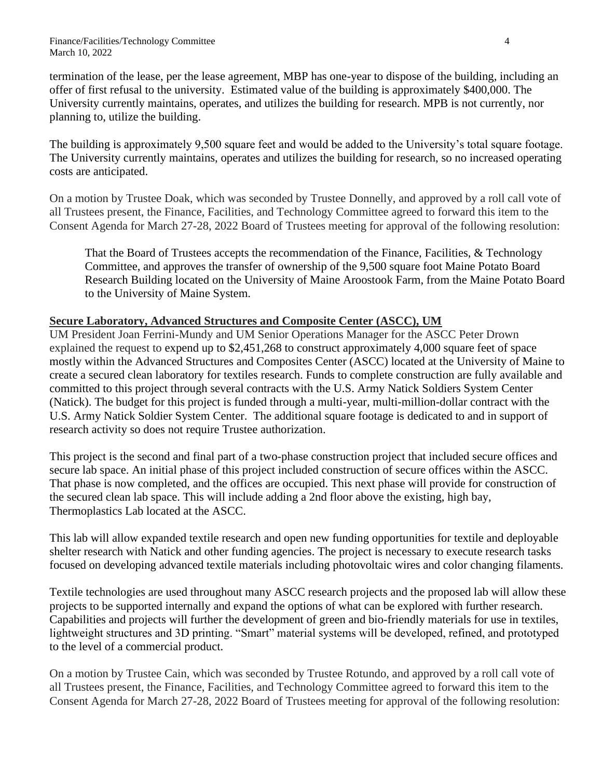termination of the lease, per the lease agreement, MBP has one-year to dispose of the building, including an offer of first refusal to the university. Estimated value of the building is approximately \$400,000. The University currently maintains, operates, and utilizes the building for research. MPB is not currently, nor planning to, utilize the building.

The building is approximately 9,500 square feet and would be added to the University's total square footage. The University currently maintains, operates and utilizes the building for research, so no increased operating costs are anticipated.

On a motion by Trustee Doak, which was seconded by Trustee Donnelly, and approved by a roll call vote of all Trustees present, the Finance, Facilities, and Technology Committee agreed to forward this item to the Consent Agenda for March 27-28, 2022 Board of Trustees meeting for approval of the following resolution:

That the Board of Trustees accepts the recommendation of the Finance, Facilities, & Technology Committee, and approves the transfer of ownership of the 9,500 square foot Maine Potato Board Research Building located on the University of Maine Aroostook Farm, from the Maine Potato Board to the University of Maine System.

### **Secure Laboratory, Advanced Structures and Composite Center (ASCC), UM**

UM President Joan Ferrini-Mundy and UM Senior Operations Manager for the ASCC Peter Drown explained the request to expend up to \$2,451,268 to construct approximately 4,000 square feet of space mostly within the Advanced Structures and Composites Center (ASCC) located at the University of Maine to create a secured clean laboratory for textiles research. Funds to complete construction are fully available and committed to this project through several contracts with the U.S. Army Natick Soldiers System Center (Natick). The budget for this project is funded through a multi-year, multi-million-dollar contract with the U.S. Army Natick Soldier System Center. The additional square footage is dedicated to and in support of research activity so does not require Trustee authorization.

This project is the second and final part of a two-phase construction project that included secure offices and secure lab space. An initial phase of this project included construction of secure offices within the ASCC. That phase is now completed, and the offices are occupied. This next phase will provide for construction of the secured clean lab space. This will include adding a 2nd floor above the existing, high bay, Thermoplastics Lab located at the ASCC.

This lab will allow expanded textile research and open new funding opportunities for textile and deployable shelter research with Natick and other funding agencies. The project is necessary to execute research tasks focused on developing advanced textile materials including photovoltaic wires and color changing filaments.

Textile technologies are used throughout many ASCC research projects and the proposed lab will allow these projects to be supported internally and expand the options of what can be explored with further research. Capabilities and projects will further the development of green and bio-friendly materials for use in textiles, lightweight structures and 3D printing. "Smart" material systems will be developed, refined, and prototyped to the level of a commercial product.

On a motion by Trustee Cain, which was seconded by Trustee Rotundo, and approved by a roll call vote of all Trustees present, the Finance, Facilities, and Technology Committee agreed to forward this item to the Consent Agenda for March 27-28, 2022 Board of Trustees meeting for approval of the following resolution: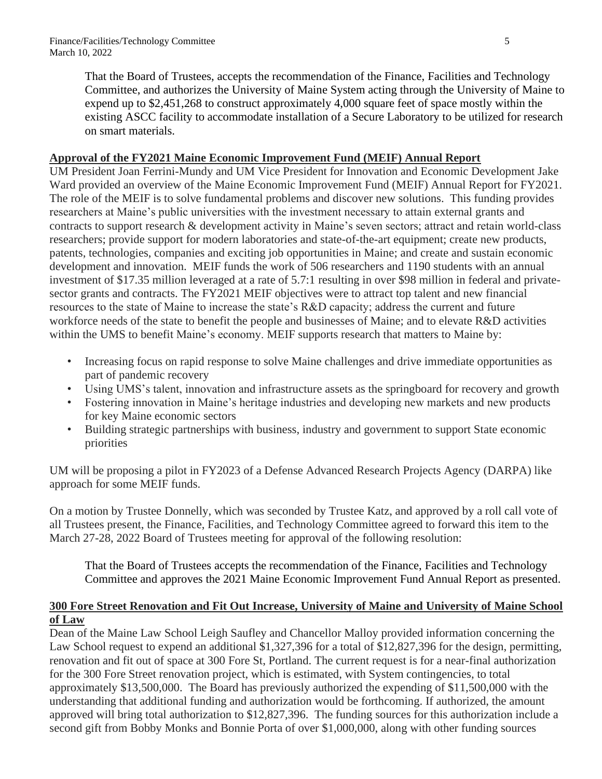That the Board of Trustees, accepts the recommendation of the Finance, Facilities and Technology Committee, and authorizes the University of Maine System acting through the University of Maine to expend up to \$2,451,268 to construct approximately 4,000 square feet of space mostly within the existing ASCC facility to accommodate installation of a Secure Laboratory to be utilized for research on smart materials.

### **Approval of the FY2021 Maine Economic Improvement Fund (MEIF) Annual Report**

UM President Joan Ferrini-Mundy and UM Vice President for Innovation and Economic Development Jake Ward provided an overview of the Maine Economic Improvement Fund (MEIF) Annual Report for FY2021. The role of the MEIF is to solve fundamental problems and discover new solutions. This funding provides researchers at Maine's public universities with the investment necessary to attain external grants and contracts to support research & development activity in Maine's seven sectors; attract and retain world-class researchers; provide support for modern laboratories and state-of-the-art equipment; create new products, patents, technologies, companies and exciting job opportunities in Maine; and create and sustain economic development and innovation. MEIF funds the work of 506 researchers and 1190 students with an annual investment of \$17.35 million leveraged at a rate of 5.7:1 resulting in over \$98 million in federal and privatesector grants and contracts. The FY2021 MEIF objectives were to attract top talent and new financial resources to the state of Maine to increase the state's R&D capacity; address the current and future workforce needs of the state to benefit the people and businesses of Maine; and to elevate R&D activities within the UMS to benefit Maine's economy. MEIF supports research that matters to Maine by:

- Increasing focus on rapid response to solve Maine challenges and drive immediate opportunities as part of pandemic recovery
- Using UMS's talent, innovation and infrastructure assets as the springboard for recovery and growth
- Fostering innovation in Maine's heritage industries and developing new markets and new products for key Maine economic sectors
- Building strategic partnerships with business, industry and government to support State economic priorities

UM will be proposing a pilot in FY2023 of a Defense Advanced Research Projects Agency (DARPA) like approach for some MEIF funds.

On a motion by Trustee Donnelly, which was seconded by Trustee Katz, and approved by a roll call vote of all Trustees present, the Finance, Facilities, and Technology Committee agreed to forward this item to the March 27-28, 2022 Board of Trustees meeting for approval of the following resolution:

That the Board of Trustees accepts the recommendation of the Finance, Facilities and Technology Committee and approves the 2021 Maine Economic Improvement Fund Annual Report as presented.

## **300 Fore Street Renovation and Fit Out Increase, University of Maine and University of Maine School of Law**

Dean of the Maine Law School Leigh Saufley and Chancellor Malloy provided information concerning the Law School request to expend an additional \$1,327,396 for a total of \$12,827,396 for the design, permitting, renovation and fit out of space at 300 Fore St, Portland. The current request is for a near-final authorization for the 300 Fore Street renovation project, which is estimated, with System contingencies, to total approximately \$13,500,000. The Board has previously authorized the expending of \$11,500,000 with the understanding that additional funding and authorization would be forthcoming. If authorized, the amount approved will bring total authorization to \$12,827,396. The funding sources for this authorization include a second gift from Bobby Monks and Bonnie Porta of over \$1,000,000, along with other funding sources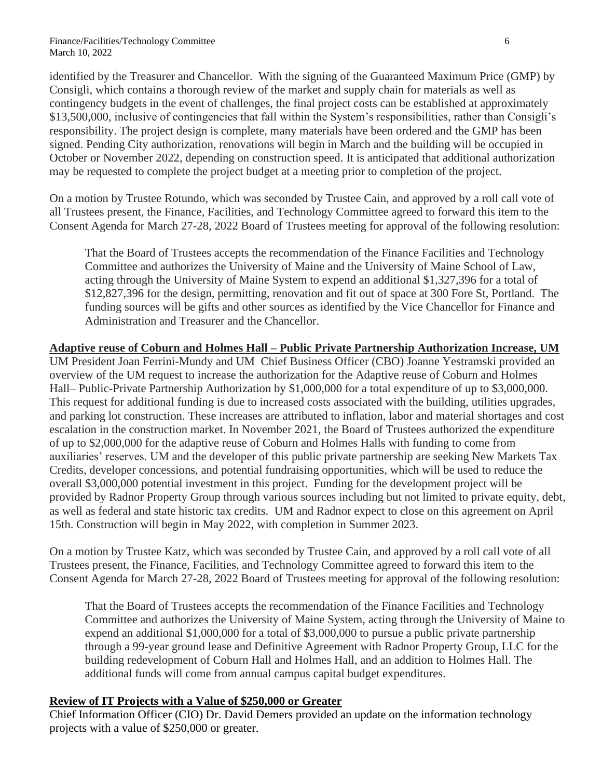identified by the Treasurer and Chancellor. With the signing of the Guaranteed Maximum Price (GMP) by Consigli, which contains a thorough review of the market and supply chain for materials as well as contingency budgets in the event of challenges, the final project costs can be established at approximately \$13,500,000, inclusive of contingencies that fall within the System's responsibilities, rather than Consigli's responsibility. The project design is complete, many materials have been ordered and the GMP has been signed. Pending City authorization, renovations will begin in March and the building will be occupied in October or November 2022, depending on construction speed. It is anticipated that additional authorization may be requested to complete the project budget at a meeting prior to completion of the project.

On a motion by Trustee Rotundo, which was seconded by Trustee Cain, and approved by a roll call vote of all Trustees present, the Finance, Facilities, and Technology Committee agreed to forward this item to the Consent Agenda for March 27-28, 2022 Board of Trustees meeting for approval of the following resolution:

That the Board of Trustees accepts the recommendation of the Finance Facilities and Technology Committee and authorizes the University of Maine and the University of Maine School of Law, acting through the University of Maine System to expend an additional \$1,327,396 for a total of \$12,827,396 for the design, permitting, renovation and fit out of space at 300 Fore St, Portland. The funding sources will be gifts and other sources as identified by the Vice Chancellor for Finance and Administration and Treasurer and the Chancellor.

### **Adaptive reuse of Coburn and Holmes Hall – Public Private Partnership Authorization Increase, UM**

UM President Joan Ferrini-Mundy and UM Chief Business Officer (CBO) Joanne Yestramski provided an overview of the UM request to increase the authorization for the Adaptive reuse of Coburn and Holmes Hall– Public-Private Partnership Authorization by \$1,000,000 for a total expenditure of up to \$3,000,000. This request for additional funding is due to increased costs associated with the building, utilities upgrades, and parking lot construction. These increases are attributed to inflation, labor and material shortages and cost escalation in the construction market. In November 2021, the Board of Trustees authorized the expenditure of up to \$2,000,000 for the adaptive reuse of Coburn and Holmes Halls with funding to come from auxiliaries' reserves. UM and the developer of this public private partnership are seeking New Markets Tax Credits, developer concessions, and potential fundraising opportunities, which will be used to reduce the overall \$3,000,000 potential investment in this project. Funding for the development project will be provided by Radnor Property Group through various sources including but not limited to private equity, debt, as well as federal and state historic tax credits. UM and Radnor expect to close on this agreement on April 15th. Construction will begin in May 2022, with completion in Summer 2023.

On a motion by Trustee Katz, which was seconded by Trustee Cain, and approved by a roll call vote of all Trustees present, the Finance, Facilities, and Technology Committee agreed to forward this item to the Consent Agenda for March 27-28, 2022 Board of Trustees meeting for approval of the following resolution:

That the Board of Trustees accepts the recommendation of the Finance Facilities and Technology Committee and authorizes the University of Maine System, acting through the University of Maine to expend an additional \$1,000,000 for a total of \$3,000,000 to pursue a public private partnership through a 99-year ground lease and Definitive Agreement with Radnor Property Group, LLC for the building redevelopment of Coburn Hall and Holmes Hall, and an addition to Holmes Hall. The additional funds will come from annual campus capital budget expenditures.

## **Review of IT Projects with a Value of \$250,000 or Greater**

Chief Information Officer (CIO) Dr. David Demers provided an update on the information technology projects with a value of \$250,000 or greater.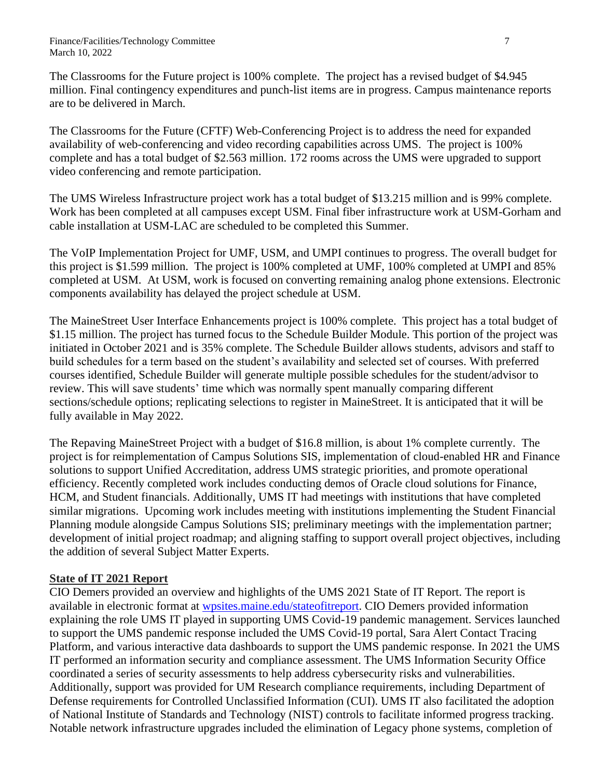The Classrooms for the Future project is 100% complete. The project has a revised budget of \$4.945 million. Final contingency expenditures and punch-list items are in progress. Campus maintenance reports are to be delivered in March.

The Classrooms for the Future (CFTF) Web-Conferencing Project is to address the need for expanded availability of web-conferencing and video recording capabilities across UMS. The project is 100% complete and has a total budget of \$2.563 million. 172 rooms across the UMS were upgraded to support video conferencing and remote participation.

The UMS Wireless Infrastructure project work has a total budget of \$13.215 million and is 99% complete. Work has been completed at all campuses except USM. Final fiber infrastructure work at USM-Gorham and cable installation at USM-LAC are scheduled to be completed this Summer.

The VoIP Implementation Project for UMF, USM, and UMPI continues to progress. The overall budget for this project is \$1.599 million. The project is 100% completed at UMF, 100% completed at UMPI and 85% completed at USM. At USM, work is focused on converting remaining analog phone extensions. Electronic components availability has delayed the project schedule at USM.

The MaineStreet User Interface Enhancements project is 100% complete. This project has a total budget of \$1.15 million. The project has turned focus to the Schedule Builder Module. This portion of the project was initiated in October 2021 and is 35% complete. The Schedule Builder allows students, advisors and staff to build schedules for a term based on the student's availability and selected set of courses. With preferred courses identified, Schedule Builder will generate multiple possible schedules for the student/advisor to review. This will save students' time which was normally spent manually comparing different sections/schedule options; replicating selections to register in MaineStreet. It is anticipated that it will be fully available in May 2022.

The Repaving MaineStreet Project with a budget of \$16.8 million, is about 1% complete currently. The project is for reimplementation of Campus Solutions SIS, implementation of cloud-enabled HR and Finance solutions to support Unified Accreditation, address UMS strategic priorities, and promote operational efficiency. Recently completed work includes conducting demos of Oracle cloud solutions for Finance, HCM, and Student financials. Additionally, UMS IT had meetings with institutions that have completed similar migrations. Upcoming work includes meeting with institutions implementing the Student Financial Planning module alongside Campus Solutions SIS; preliminary meetings with the implementation partner; development of initial project roadmap; and aligning staffing to support overall project objectives, including the addition of several Subject Matter Experts.

# **State of IT 2021 Report**

CIO Demers provided an overview and highlights of the UMS 2021 State of IT Report. The report is available in electronic format at [wpsites.maine.edu/stateofitreport.](https://wpsites.maine.edu/stateofitreport/) CIO Demers provided information explaining the role UMS IT played in supporting UMS Covid-19 pandemic management. Services launched to support the UMS pandemic response included the UMS Covid-19 portal, Sara Alert Contact Tracing Platform, and various interactive data dashboards to support the UMS pandemic response. In 2021 the UMS IT performed an information security and compliance assessment. The UMS Information Security Office coordinated a series of security assessments to help address cybersecurity risks and vulnerabilities. Additionally, support was provided for UM Research compliance requirements, including Department of Defense requirements for Controlled Unclassified Information (CUI). UMS IT also facilitated the adoption of National Institute of Standards and Technology (NIST) controls to facilitate informed progress tracking. Notable network infrastructure upgrades included the elimination of Legacy phone systems, completion of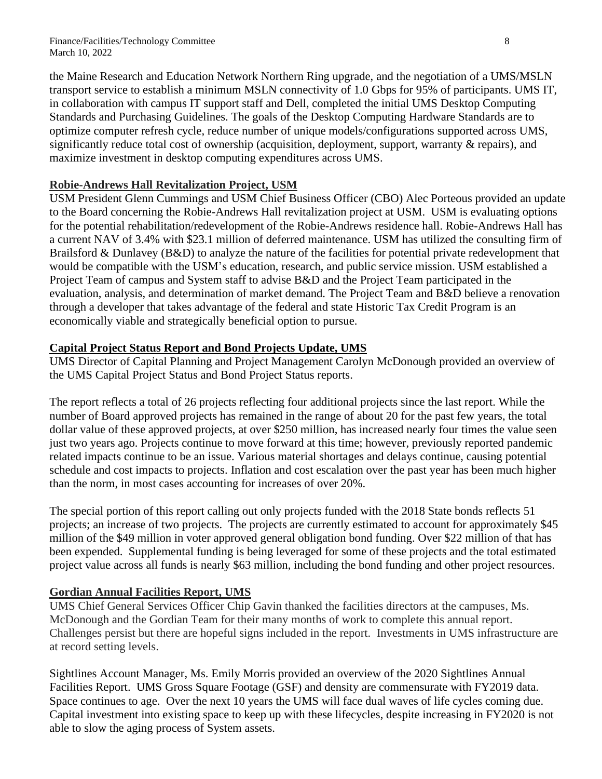the Maine Research and Education Network Northern Ring upgrade, and the negotiation of a UMS/MSLN transport service to establish a minimum MSLN connectivity of 1.0 Gbps for 95% of participants. UMS IT, in collaboration with campus IT support staff and Dell, completed the initial UMS Desktop Computing Standards and Purchasing Guidelines. The goals of the Desktop Computing Hardware Standards are to optimize computer refresh cycle, reduce number of unique models/configurations supported across UMS, significantly reduce total cost of ownership (acquisition, deployment, support, warranty & repairs), and maximize investment in desktop computing expenditures across UMS.

### **Robie-Andrews Hall Revitalization Project, USM**

USM President Glenn Cummings and USM Chief Business Officer (CBO) Alec Porteous provided an update to the Board concerning the Robie-Andrews Hall revitalization project at USM. USM is evaluating options for the potential rehabilitation/redevelopment of the Robie-Andrews residence hall. Robie-Andrews Hall has a current NAV of 3.4% with \$23.1 million of deferred maintenance. USM has utilized the consulting firm of Brailsford & Dunlavey (B&D) to analyze the nature of the facilities for potential private redevelopment that would be compatible with the USM's education, research, and public service mission. USM established a Project Team of campus and System staff to advise B&D and the Project Team participated in the evaluation, analysis, and determination of market demand. The Project Team and B&D believe a renovation through a developer that takes advantage of the federal and state Historic Tax Credit Program is an economically viable and strategically beneficial option to pursue.

### **Capital Project Status Report and Bond Projects Update, UMS**

UMS Director of Capital Planning and Project Management Carolyn McDonough provided an overview of the UMS Capital Project Status and Bond Project Status reports.

The report reflects a total of 26 projects reflecting four additional projects since the last report. While the number of Board approved projects has remained in the range of about 20 for the past few years, the total dollar value of these approved projects, at over \$250 million, has increased nearly four times the value seen just two years ago. Projects continue to move forward at this time; however, previously reported pandemic related impacts continue to be an issue. Various material shortages and delays continue, causing potential schedule and cost impacts to projects. Inflation and cost escalation over the past year has been much higher than the norm, in most cases accounting for increases of over 20%.

The special portion of this report calling out only projects funded with the 2018 State bonds reflects 51 projects; an increase of two projects. The projects are currently estimated to account for approximately \$45 million of the \$49 million in voter approved general obligation bond funding. Over \$22 million of that has been expended. Supplemental funding is being leveraged for some of these projects and the total estimated project value across all funds is nearly \$63 million, including the bond funding and other project resources.

## **Gordian Annual Facilities Report, UMS**

UMS Chief General Services Officer Chip Gavin thanked the facilities directors at the campuses, Ms. McDonough and the Gordian Team for their many months of work to complete this annual report. Challenges persist but there are hopeful signs included in the report. Investments in UMS infrastructure are at record setting levels.

Sightlines Account Manager, Ms. Emily Morris provided an overview of the 2020 Sightlines Annual Facilities Report. UMS Gross Square Footage (GSF) and density are commensurate with FY2019 data. Space continues to age. Over the next 10 years the UMS will face dual waves of life cycles coming due. Capital investment into existing space to keep up with these lifecycles, despite increasing in FY2020 is not able to slow the aging process of System assets.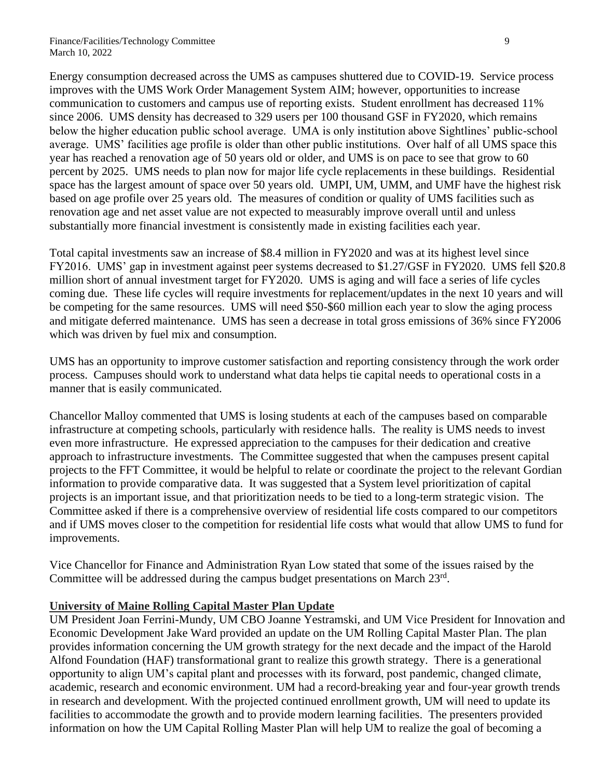Energy consumption decreased across the UMS as campuses shuttered due to COVID-19. Service process improves with the UMS Work Order Management System AIM; however, opportunities to increase communication to customers and campus use of reporting exists. Student enrollment has decreased 11% since 2006. UMS density has decreased to 329 users per 100 thousand GSF in FY2020, which remains below the higher education public school average. UMA is only institution above Sightlines' public-school average. UMS' facilities age profile is older than other public institutions. Over half of all UMS space this year has reached a renovation age of 50 years old or older, and UMS is on pace to see that grow to 60 percent by 2025. UMS needs to plan now for major life cycle replacements in these buildings. Residential space has the largest amount of space over 50 years old. UMPI, UM, UMM, and UMF have the highest risk based on age profile over 25 years old. The measures of condition or quality of UMS facilities such as renovation age and net asset value are not expected to measurably improve overall until and unless substantially more financial investment is consistently made in existing facilities each year.

Total capital investments saw an increase of \$8.4 million in FY2020 and was at its highest level since FY2016. UMS' gap in investment against peer systems decreased to \$1.27/GSF in FY2020. UMS fell \$20.8 million short of annual investment target for FY2020. UMS is aging and will face a series of life cycles coming due. These life cycles will require investments for replacement/updates in the next 10 years and will be competing for the same resources. UMS will need \$50-\$60 million each year to slow the aging process and mitigate deferred maintenance. UMS has seen a decrease in total gross emissions of 36% since FY2006 which was driven by fuel mix and consumption.

UMS has an opportunity to improve customer satisfaction and reporting consistency through the work order process. Campuses should work to understand what data helps tie capital needs to operational costs in a manner that is easily communicated.

Chancellor Malloy commented that UMS is losing students at each of the campuses based on comparable infrastructure at competing schools, particularly with residence halls. The reality is UMS needs to invest even more infrastructure. He expressed appreciation to the campuses for their dedication and creative approach to infrastructure investments. The Committee suggested that when the campuses present capital projects to the FFT Committee, it would be helpful to relate or coordinate the project to the relevant Gordian information to provide comparative data. It was suggested that a System level prioritization of capital projects is an important issue, and that prioritization needs to be tied to a long-term strategic vision. The Committee asked if there is a comprehensive overview of residential life costs compared to our competitors and if UMS moves closer to the competition for residential life costs what would that allow UMS to fund for improvements.

Vice Chancellor for Finance and Administration Ryan Low stated that some of the issues raised by the Committee will be addressed during the campus budget presentations on March 23rd.

#### **University of Maine Rolling Capital Master Plan Update**

UM President Joan Ferrini-Mundy, UM CBO Joanne Yestramski, and UM Vice President for Innovation and Economic Development Jake Ward provided an update on the UM Rolling Capital Master Plan. The plan provides information concerning the UM growth strategy for the next decade and the impact of the Harold Alfond Foundation (HAF) transformational grant to realize this growth strategy. There is a generational opportunity to align UM's capital plant and processes with its forward, post pandemic, changed climate, academic, research and economic environment. UM had a record-breaking year and four-year growth trends in research and development. With the projected continued enrollment growth, UM will need to update its facilities to accommodate the growth and to provide modern learning facilities. The presenters provided information on how the UM Capital Rolling Master Plan will help UM to realize the goal of becoming a